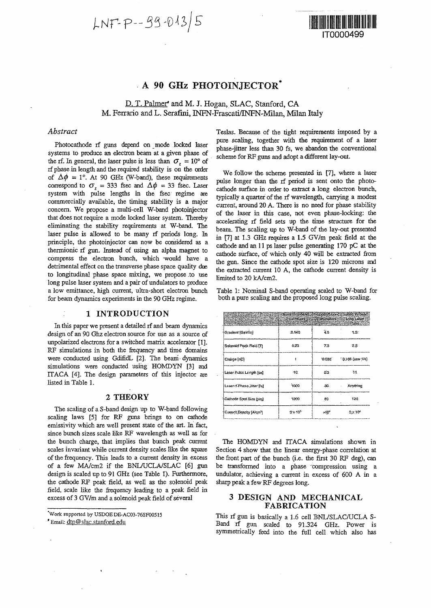$LNF-P-99-0135$ 



# A 90 GHz PHOTOINJECTOR<sup>\*</sup>

# D. T. Palmer\* and M. J. Hogan, SLAC, Stanford, CA M. Ferrario and L. Serafini, INFN-Frascati/INFN-Milan, Milan Italy

## *Abstract*

Photocathode rf guns depend on mode locked laser systems to produce an electron beam at a given phase of the rf. In general, the laser pulse is less than  $\sigma_z = 10^\circ$  of rf phase in length and the required stability is on the order of  $\Delta \phi = 1^{\circ}$ . At 90 GHz (W-band), these requirements correspond to  $\sigma_z$  = 333 fsec and  $\Delta\phi$  = 33 fsec. Laser system with pulse lengths in the fsec regime are commercially available, the timing stability is a major concern. We propose a multi-cell W-band photoinjector that does not require a mode locked laser system. Thereby eliminating the stability requirements at W-band. The laser pulse is allowed to be many rf periods long. In principle, the photoinjector can now be considered as a thermionic rf gun. Instead of using an alpha magnet to compress the electron bunch, which would have a detrimental effect on the transverse phase space quality due to longitudinal phase space mixing, we propose to use long pulse laser system and a pair of undulators to produce a low emittance, high current, ultra-short electron bunch for beam dynamics experiments in the 90 GHz regime.

### 1 INTRODUCTION

In this paper we present a detailed rf and beam dynamics design of an 90 Ghz electron source for use as a source of unpolarized electrons for a switched matrix accelerator [1], RF simulations in both the frequency and time domains were conducted using GdifidL [2]. The beam dynamics simulations were conducted using HOMDYN [3] and ITACA [4]. The design parameters of this injector are listed in Table 1.

#### 2 THEORY

The scaling of a S-band design up to W-band following scaling laws [5] for RF guns brings to on cathode emissivity which are well present state of the art. In fact, since bunch sizes scale like RF wavelength as well as for the bunch charge, that implies that bunch peak current scales invariant while current density scales like the square of the frequency. This leads to a current density in excess of a few MA/cm2 if the BNL/UCLA/SLAC [6] gun design is scaled up to 91 GHz (see Table 1). Furthermore, the cathode RF peak field, as well as the solenoid peak field, scale like the frequency leading to a peak field in excess of 3 GV/m and a solenoid peak field of several

'Work supported by USDOEDE-AC03-76SF00515

\* Email: dtp@slac.stanford.edu

Teslas. Because of the tight requirements imposed by a pure scaling, together with the requirement of a laser phase-jitter less than 30 fs, we abandon the conventional scheme for RF guns and adopt a different lay-out.

We follow the scheme presented in [7], where a laser pulse longer than the rf period is sent onto the photocathode surface in order to extract a long electron bunch, typically a quarter of the rf wavelength, carrying a modest current, around 20 A. There is no need for phase stability of the laser in this case, not even phase-locking: the accelerating rf field sets up the time structure for the beam. The scaling up to W-band of the lay-out presented in [7] at 1.3 GHz requires a 1.5 GV/m peak field at the cathode and an 11 ps laser pulse generating 170 pC at the cathode surface, of which only 40 will be extracted from the gun. Since the cathode spot size is 120 microns and the extracted current 10 A, the cathode current density is limited to 20 kA/cm2.

Table 1: Nominal S-band operating scaled to W-band for both a pure scaling and the proposed long pulse scaling.

| street and a show that the state of the state of the state of the state of the state of the state of the state of the state of the state of the state of the state of the state of the state of the state of the state of the<br>Parameters Parameters Danmaters Long Leson | and a second as each property of the complete Pulse and |       |                      |
|-----------------------------------------------------------------------------------------------------------------------------------------------------------------------------------------------------------------------------------------------------------------------------|---------------------------------------------------------|-------|----------------------|
| Gradient [GeV/m]                                                                                                                                                                                                                                                            | 3.140                                                   | 43    | 15.                  |
| Solenoid Peak Field (T)                                                                                                                                                                                                                                                     | 0.23                                                    | 73    | $25 -$               |
| Charge [nC]                                                                                                                                                                                                                                                                 |                                                         | 0.032 | $0.156$ (use $1/4$ ) |
| Lasor Pulse Length (ps)                                                                                                                                                                                                                                                     | 40.                                                     | D.3   | 91.                  |
| Lacor-d'Phase, Jider [is]                                                                                                                                                                                                                                                   | 1000                                                    | ЗG.   | Anything             |
| Calhode Spot Size (um)                                                                                                                                                                                                                                                      | 1200                                                    | -99   | 120                  |
| Current Density [A/cm <sup>2</sup> ]                                                                                                                                                                                                                                        | $2 \times 10^5$                                         | ×:V   | $2 \times 10^{4}$    |

The HOMDYN and ITACA simulations shown in Section 4 show that the linear energy-phase correlation at the front part of the bunch (i.e. the first 30 RF deg), can be transformed into a phase compression using a undulator, achieving a current in excess of 600 A in a sharp peak a few RF degrees long.

# 3 DESIGN AND MECHANICAL FABRICATION

This rf gun is basically a 1.6 cell BNL/SLAC/UCLA S-Band rf gun scaled to 91.324 GHz. Power is symmetrically feed into the full cell which also has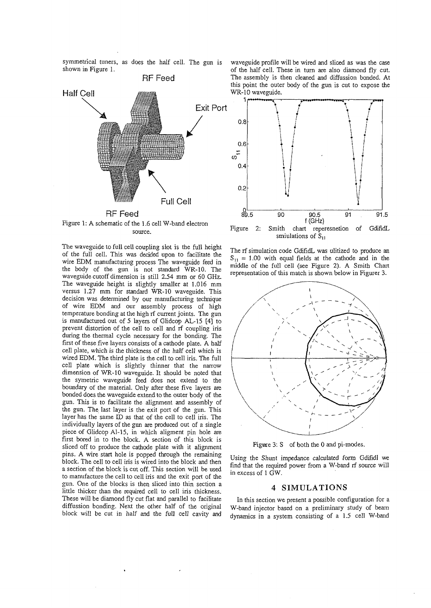symmetrical tuners, as does the half cell. The gun is shown in Figure 1.



Figure 1: A schematic of the 1.6 cell W-band electron source.

The waveguide to full cell coupling slot is the full height of the full cell. This was decided upon to facilitate the wire EDM manufacturing process The waveguide feed in the body of the gun is not standard WR-10. The waveguide cutoff dimension is still 2.54 mm or 60 GHz. The waveguide height is slightly smaller at 1.016 mm versus 1.27 mm for standard WR-10 waveguide. This decision was determined by our manufacturing technique of wire EDM and our assembly process of high temperature bonding at the high rf current joints. The gun is manufactured out of 5 layers of Glidcop AL-15 [4] to prevent distortion of the cell to cell and rf coupling iris during the thermal cycle necessary for the bonding. The first of these five layers consists of a cathode plate. A half cell plate, which is the thickness of the half cell which is wired EDM. The third plate is the cell to cell iris. The full cell plate which is slightly thinner that the narrow dimension of WR-10 waveguide. It should be noted that the symetric waveguide feed does not extend to the boundary of the material. Only after these five layers are bonded does the waveguide extend to the outer body of the gun. This is to facilitate the alignment and assembly of the gun. The last layer is the exit port of the gun. This layer has the same ED as that of the cell to cell iris. The individually layers of the gun are produced out of a single piece of Glidcop AI-15, in which aligment pin hole are first bored in to the block. A section of this block is sliced off to produce the cathode plate with it alignment pins. A wire start hole is popped through the remaining block. The cell to cell iris is wired into the block and then a section of the block is cut off. This section will be used to manufacture the cell to cell iris and the exit port of the gun. One of the blocks is then sliced into thin section a guil. One of the blocks is then sheet filled thin section a little thicker than the required cell to cell iris thickness. These will be diamond fly cut flat and parallel to facilitate diffussion bonding. Next the other half of the original block will be cut in half and the full cell cavity and waveguide profile will be wired and sliced as was the case of the half cell. These in turn are also diamond fly cut. The assembly is then cleaned and diffussion bonded. At this point the outer body of the gun is cut to expose the WR-10 waveguide.



smiulations of  $\bar{S}_{11}$ 

The rf simulation code GdifidL was ulitized to produce an  $S_{11} = 1.00$  with equal fields at the cathode and in the middle of the full cell (see Figure 2). A Smith Chart representation of this match is shown below in Figurer 3.



Figure 3: S of both the 0 and pi-modes.

Using the Shunt impedance calculated form Gdifidl we find that the required power from a W-band rf source will in excess of 1 GW.

### 4 SIMULATIONS

In this section we present a possible configuration for a W-band injector based on a preliminary study of beam dynamics in a system consisting of a 1.5 cell W-band